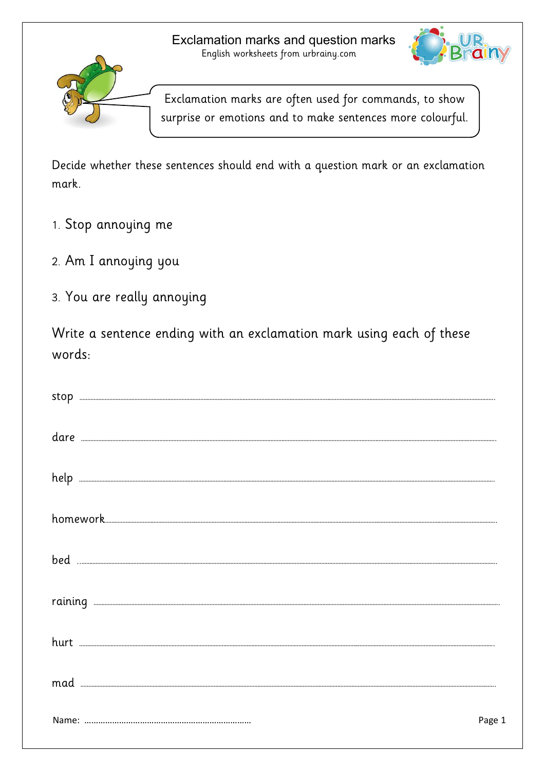

Exclamation marks are often used for commands, to show surprise or emotions and to make sentences more colourful.

Decide whether these sentences should end with a question mark or an exclamation mark.

- 1. Stop annoying me
- 2. Am I annoying you
- 3. You are really annoying

Write a sentence ending with an exclamation mark using each of these words:

| stop                                                                                                                                                                                                                                                                                                                                                                                                                                                                                                                         |        |
|------------------------------------------------------------------------------------------------------------------------------------------------------------------------------------------------------------------------------------------------------------------------------------------------------------------------------------------------------------------------------------------------------------------------------------------------------------------------------------------------------------------------------|--------|
|                                                                                                                                                                                                                                                                                                                                                                                                                                                                                                                              |        |
|                                                                                                                                                                                                                                                                                                                                                                                                                                                                                                                              |        |
|                                                                                                                                                                                                                                                                                                                                                                                                                                                                                                                              |        |
|                                                                                                                                                                                                                                                                                                                                                                                                                                                                                                                              |        |
|                                                                                                                                                                                                                                                                                                                                                                                                                                                                                                                              |        |
| hurt                                                                                                                                                                                                                                                                                                                                                                                                                                                                                                                         |        |
| $\begin{minipage}{.4\linewidth} \textbf{mad} \end{minipage} \begin{minipage}{.4\linewidth} \textbf{mad} \end{minipage} \begin{minipage}{.4\linewidth} \textbf{C} \end{minipage} \begin{minipage}{.4\linewidth} \textbf{C} \end{minipage} \begin{minipage}{.4\linewidth} \textbf{C} \end{minipage} \begin{minipage}{.4\linewidth} \textbf{C} \end{minipage} \begin{minipage}{.4\linewidth} \textbf{C} \end{minipage} \begin{minipage}{.4\linewidth} \textbf{C} \end{minipage} \begin{minipage}{.4\linewidth} \textbf{C} \end$ |        |
|                                                                                                                                                                                                                                                                                                                                                                                                                                                                                                                              | Page 1 |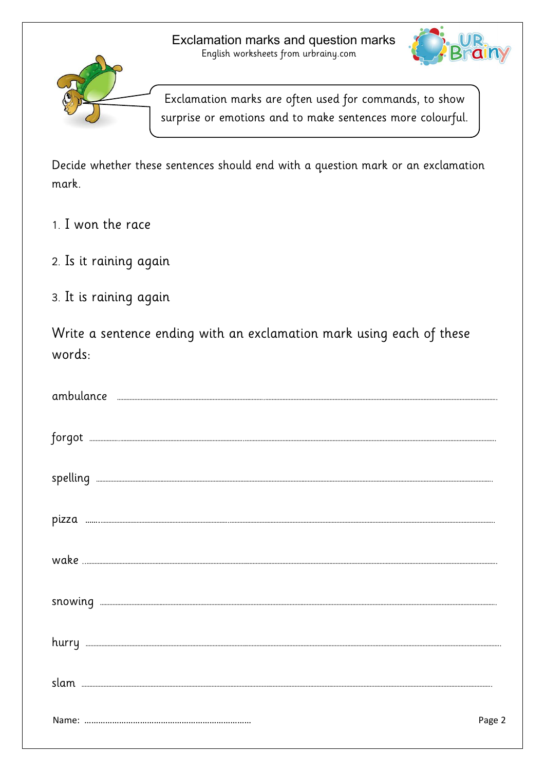

Exclamation marks are often used for commands, to show

surprise or emotions and to make sentences more colourful.

Decide whether these sentences should end with a question mark or an exclamation mark.

- 1. I won the race
- 2. Is it raining again
- 3. It is raining again

Write a sentence ending with an exclamation mark using each of these words:

| $\textbf{310wing} \quad \textcolor{red}{\textbf{}} \quad \textcolor{red}{\textbf{}} \quad \textcolor{red}{\textbf{}} \quad \textcolor{red}{\textbf{}} \quad \textcolor{red}{\textbf{}} \quad \textcolor{red}{\textbf{}} \quad \textcolor{red}{\textbf{}} \quad \textcolor{red}{\textbf{}} \quad \textcolor{red}{\textbf{}} \quad \textcolor{red}{\textbf{}} \quad \textcolor{red}{\textbf{}} \quad \textcolor{red}{\textbf{}} \quad \textcolor{red}{\textbf{}} \quad \textcolor{red}{\textbf{}} \quad \textcolor{red}{\textbf{}} \$ |        |
|-------------------------------------------------------------------------------------------------------------------------------------------------------------------------------------------------------------------------------------------------------------------------------------------------------------------------------------------------------------------------------------------------------------------------------------------------------------------------------------------------------------------------------------|--------|
|                                                                                                                                                                                                                                                                                                                                                                                                                                                                                                                                     |        |
|                                                                                                                                                                                                                                                                                                                                                                                                                                                                                                                                     |        |
|                                                                                                                                                                                                                                                                                                                                                                                                                                                                                                                                     | Page 2 |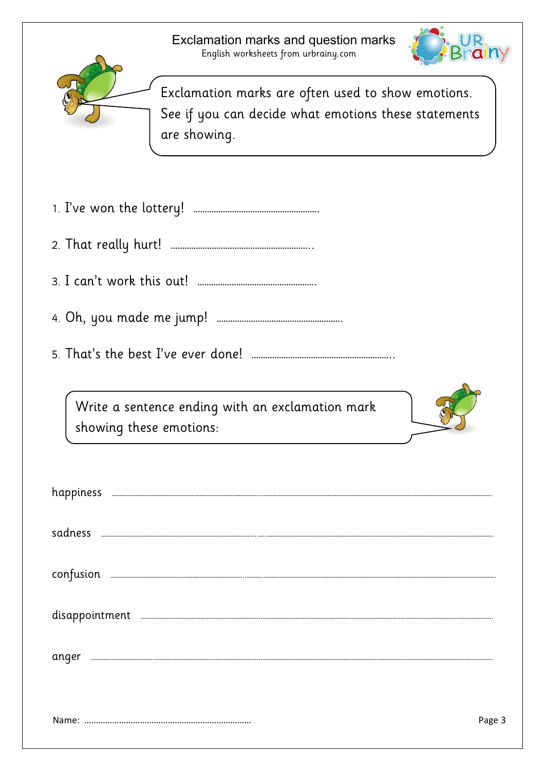



Exclamation marks are often used to show emotions. See if you can decide what emotions these statements are showing.

| 1. I've won the lottery! |  |
|--------------------------|--|
|--------------------------|--|

- 2. That really hurt! ……………………………………………………..
- 3. I can't work this out! …………………………………………….
- 4. Oh, you made me jump! ……………………………………………….
- 5. That's the best I've ever done! ……………………………………………………..

Write a sentence ending with an exclamation mark showing these emotions:



| happiness |        |
|-----------|--------|
| sadness   |        |
| confusion |        |
|           |        |
| anger     |        |
|           |        |
|           | Page 3 |